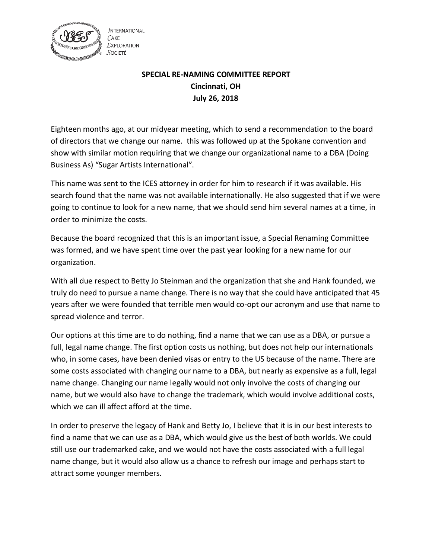

**JNTERNATIONAL**  $C$ AKE **EXPLORATION** SOCIETÉ

## **SPECIAL RE-NAMING COMMITTEE REPORT Cincinnati, OH July 26, 2018**

Eighteen months ago, at our midyear meeting, which to send a recommendation to the board of directors that we change our name. this was followed up at the Spokane convention and show with similar motion requiring that we change our organizational name to a DBA (Doing Business As) "Sugar Artists International".

This name was sent to the ICES attorney in order for him to research if it was available. His search found that the name was not available internationally. He also suggested that if we were going to continue to look for a new name, that we should send him several names at a time, in order to minimize the costs.

Because the board recognized that this is an important issue, a Special Renaming Committee was formed, and we have spent time over the past year looking for a new name for our organization.

With all due respect to Betty Jo Steinman and the organization that she and Hank founded, we truly do need to pursue a name change. There is no way that she could have anticipated that 45 years after we were founded that terrible men would co-opt our acronym and use that name to spread violence and terror.

Our options at this time are to do nothing, find a name that we can use as a DBA, or pursue a full, legal name change. The first option costs us nothing, but does not help our internationals who, in some cases, have been denied visas or entry to the US because of the name. There are some costs associated with changing our name to a DBA, but nearly as expensive as a full, legal name change. Changing our name legally would not only involve the costs of changing our name, but we would also have to change the trademark, which would involve additional costs, which we can ill affect afford at the time.

In order to preserve the legacy of Hank and Betty Jo, I believe that it is in our best interests to find a name that we can use as a DBA, which would give us the best of both worlds. We could still use our trademarked cake, and we would not have the costs associated with a full legal name change, but it would also allow us a chance to refresh our image and perhaps start to attract some younger members.